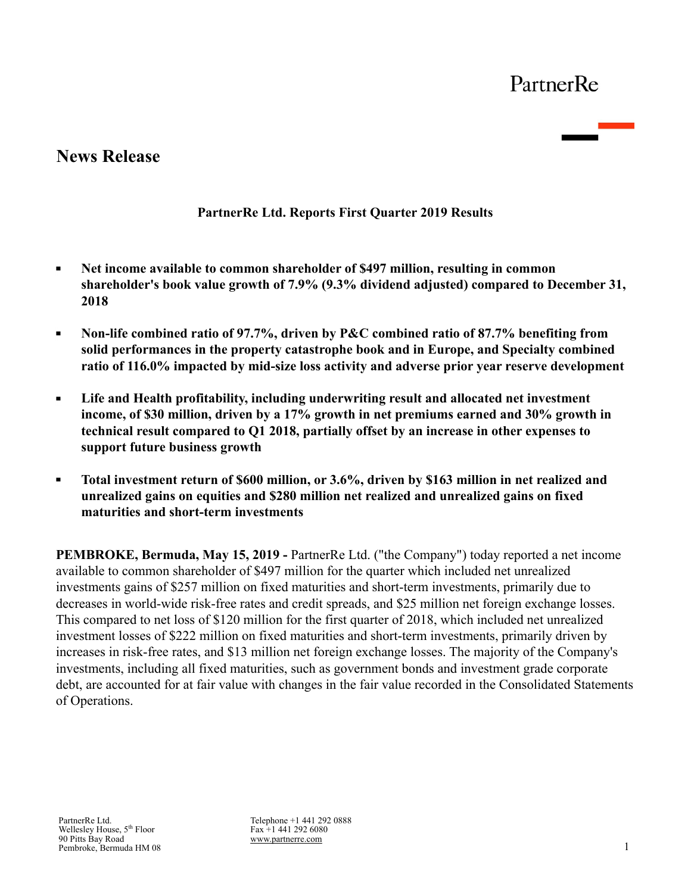# **News Release**

## **PartnerRe Ltd. Reports First Quarter 2019 Results**

- **Net income available to common shareholder of \$497 million, resulting in common**   $\blacksquare$ **shareholder's book value growth of 7.9% (9.3% dividend adjusted) compared to December 31, 2018**
- $\blacksquare$ **Non-life combined ratio of 97.7%, driven by P&C combined ratio of 87.7% benefiting from solid performances in the property catastrophe book and in Europe, and Specialty combined ratio of 116.0% impacted by mid-size loss activity and adverse prior year reserve development**
- $\blacksquare$ **Life and Health profitability, including underwriting result and allocated net investment income, of \$30 million, driven by a 17% growth in net premiums earned and 30% growth in technical result compared to Q1 2018, partially offset by an increase in other expenses to support future business growth**
- **Total investment return of \$600 million, or 3.6%, driven by \$163 million in net realized and**   $\blacksquare$ **unrealized gains on equities and \$280 million net realized and unrealized gains on fixed maturities and short-term investments**

**PEMBROKE, Bermuda, May 15, 2019 -** PartnerRe Ltd. ("the Company") today reported a net income available to common shareholder of \$497 million for the quarter which included net unrealized investments gains of \$257 million on fixed maturities and short-term investments, primarily due to decreases in world-wide risk-free rates and credit spreads, and \$25 million net foreign exchange losses. This compared to net loss of \$120 million for the first quarter of 2018, which included net unrealized investment losses of \$222 million on fixed maturities and short-term investments, primarily driven by increases in risk-free rates, and \$13 million net foreign exchange losses. The majority of the Company's investments, including all fixed maturities, such as government bonds and investment grade corporate debt, are accounted for at fair value with changes in the fair value recorded in the Consolidated Statements of Operations.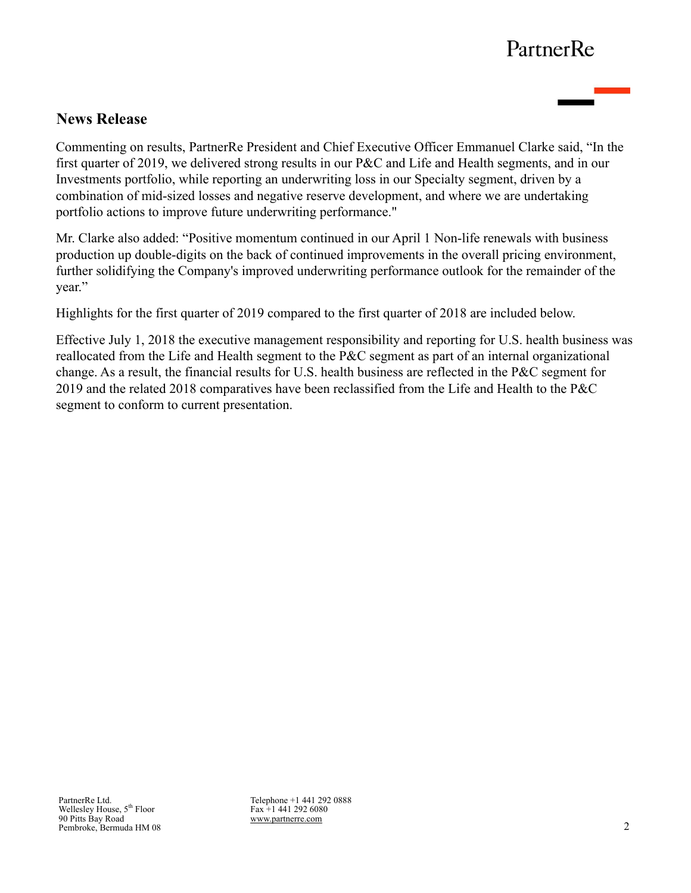## **News Release**

Commenting on results, PartnerRe President and Chief Executive Officer Emmanuel Clarke said, "In the first quarter of 2019, we delivered strong results in our P&C and Life and Health segments, and in our Investments portfolio, while reporting an underwriting loss in our Specialty segment, driven by a combination of mid-sized losses and negative reserve development, and where we are undertaking portfolio actions to improve future underwriting performance."

Mr. Clarke also added: "Positive momentum continued in our April 1 Non-life renewals with business production up double-digits on the back of continued improvements in the overall pricing environment, further solidifying the Company's improved underwriting performance outlook for the remainder of the year."

Highlights for the first quarter of 2019 compared to the first quarter of 2018 are included below.

Effective July 1, 2018 the executive management responsibility and reporting for U.S. health business was reallocated from the Life and Health segment to the P&C segment as part of an internal organizational change. As a result, the financial results for U.S. health business are reflected in the P&C segment for 2019 and the related 2018 comparatives have been reclassified from the Life and Health to the P&C segment to conform to current presentation.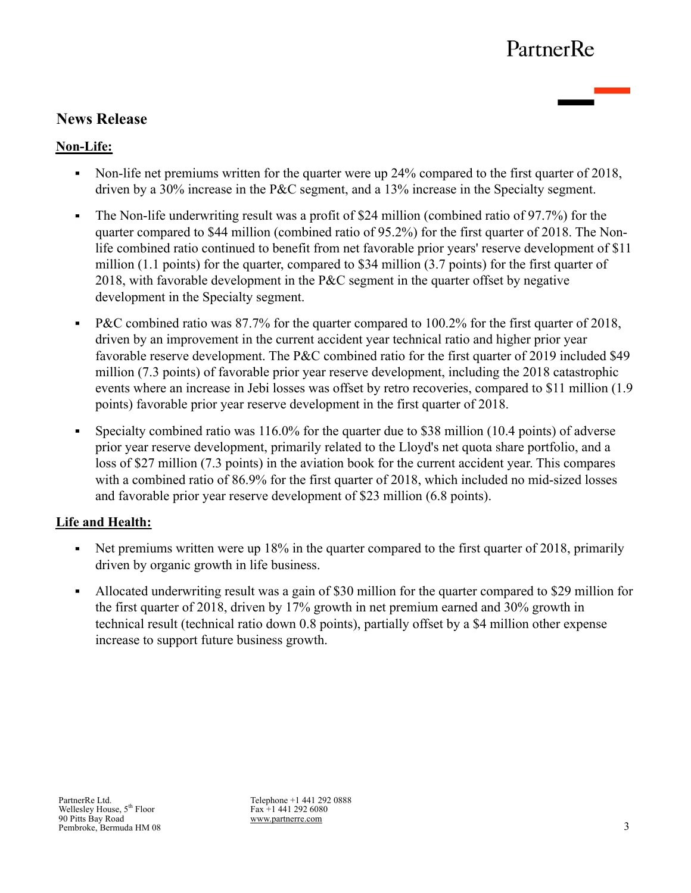# **News Release**

## **Non-Life:**

- Non-life net premiums written for the quarter were up 24% compared to the first quarter of 2018, driven by a 30% increase in the P&C segment, and a 13% increase in the Specialty segment.
- The Non-life underwriting result was a profit of \$24 million (combined ratio of 97.7%) for the  $\blacksquare$ quarter compared to \$44 million (combined ratio of 95.2%) for the first quarter of 2018. The Nonlife combined ratio continued to benefit from net favorable prior years' reserve development of \$11 million (1.1 points) for the quarter, compared to \$34 million (3.7 points) for the first quarter of 2018, with favorable development in the P&C segment in the quarter offset by negative development in the Specialty segment.
- P&C combined ratio was 87.7% for the quarter compared to 100.2% for the first quarter of 2018,  $\blacksquare$ driven by an improvement in the current accident year technical ratio and higher prior year favorable reserve development. The P&C combined ratio for the first quarter of 2019 included \$49 million (7.3 points) of favorable prior year reserve development, including the 2018 catastrophic events where an increase in Jebi losses was offset by retro recoveries, compared to \$11 million (1.9 points) favorable prior year reserve development in the first quarter of 2018.
- Specialty combined ratio was 116.0% for the quarter due to \$38 million (10.4 points) of adverse  $\blacksquare$ prior year reserve development, primarily related to the Lloyd's net quota share portfolio, and a loss of \$27 million (7.3 points) in the aviation book for the current accident year. This compares with a combined ratio of 86.9% for the first quarter of 2018, which included no mid-sized losses and favorable prior year reserve development of \$23 million (6.8 points).

## **Life and Health:**

- Net premiums written were up  $18\%$  in the quarter compared to the first quarter of 2018, primarily driven by organic growth in life business.
- Allocated underwriting result was a gain of \$30 million for the quarter compared to \$29 million for  $\blacksquare$ the first quarter of 2018, driven by 17% growth in net premium earned and 30% growth in technical result (technical ratio down 0.8 points), partially offset by a \$4 million other expense increase to support future business growth.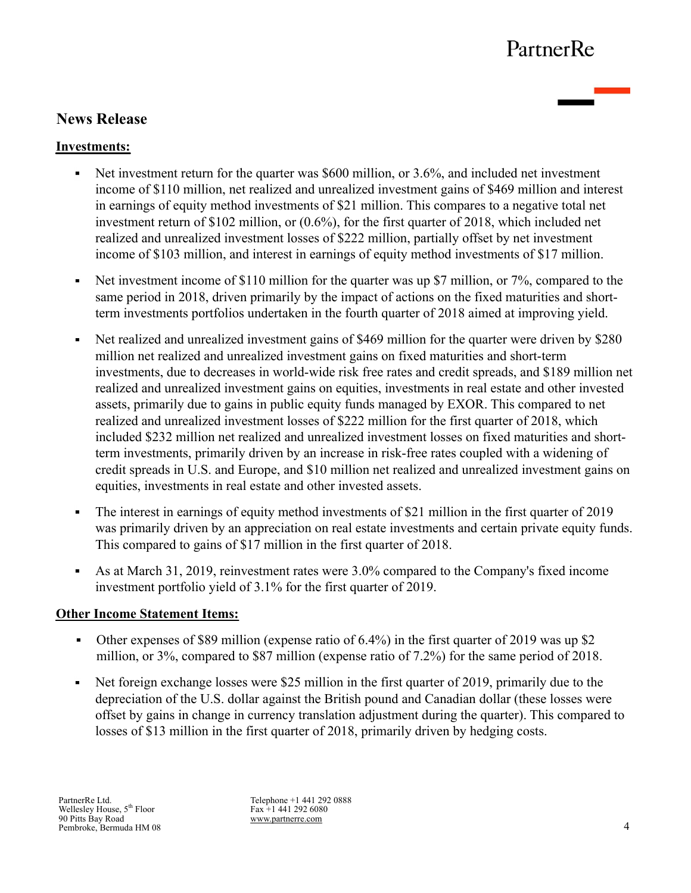# **News Release**

## **Investments:**

- Net investment return for the quarter was \$600 million, or 3.6%, and included net investment income of \$110 million, net realized and unrealized investment gains of \$469 million and interest in earnings of equity method investments of \$21 million. This compares to a negative total net investment return of \$102 million, or (0.6%), for the first quarter of 2018, which included net realized and unrealized investment losses of \$222 million, partially offset by net investment income of \$103 million, and interest in earnings of equity method investments of \$17 million.
- Net investment income of \$110 million for the quarter was up \$7 million, or 7%, compared to the  $\blacksquare$ same period in 2018, driven primarily by the impact of actions on the fixed maturities and shortterm investments portfolios undertaken in the fourth quarter of 2018 aimed at improving yield.
- Net realized and unrealized investment gains of \$469 million for the quarter were driven by \$280  $\blacksquare$ million net realized and unrealized investment gains on fixed maturities and short-term investments, due to decreases in world-wide risk free rates and credit spreads, and \$189 million net realized and unrealized investment gains on equities, investments in real estate and other invested assets, primarily due to gains in public equity funds managed by EXOR. This compared to net realized and unrealized investment losses of \$222 million for the first quarter of 2018, which included \$232 million net realized and unrealized investment losses on fixed maturities and shortterm investments, primarily driven by an increase in risk-free rates coupled with a widening of credit spreads in U.S. and Europe, and \$10 million net realized and unrealized investment gains on equities, investments in real estate and other invested assets.
- The interest in earnings of equity method investments of \$21 million in the first quarter of 2019 was primarily driven by an appreciation on real estate investments and certain private equity funds. This compared to gains of \$17 million in the first quarter of 2018.
- $\blacksquare$ As at March 31, 2019, reinvestment rates were 3.0% compared to the Company's fixed income investment portfolio yield of 3.1% for the first quarter of 2019.

## **Other Income Statement Items:**

- Other expenses of \$89 million (expense ratio of 6.4%) in the first quarter of 2019 was up \$2  $\mathbf{u}$  . million, or 3%, compared to \$87 million (expense ratio of 7.2%) for the same period of 2018.
- Net foreign exchange losses were \$25 million in the first quarter of 2019, primarily due to the depreciation of the U.S. dollar against the British pound and Canadian dollar (these losses were offset by gains in change in currency translation adjustment during the quarter). This compared to losses of \$13 million in the first quarter of 2018, primarily driven by hedging costs.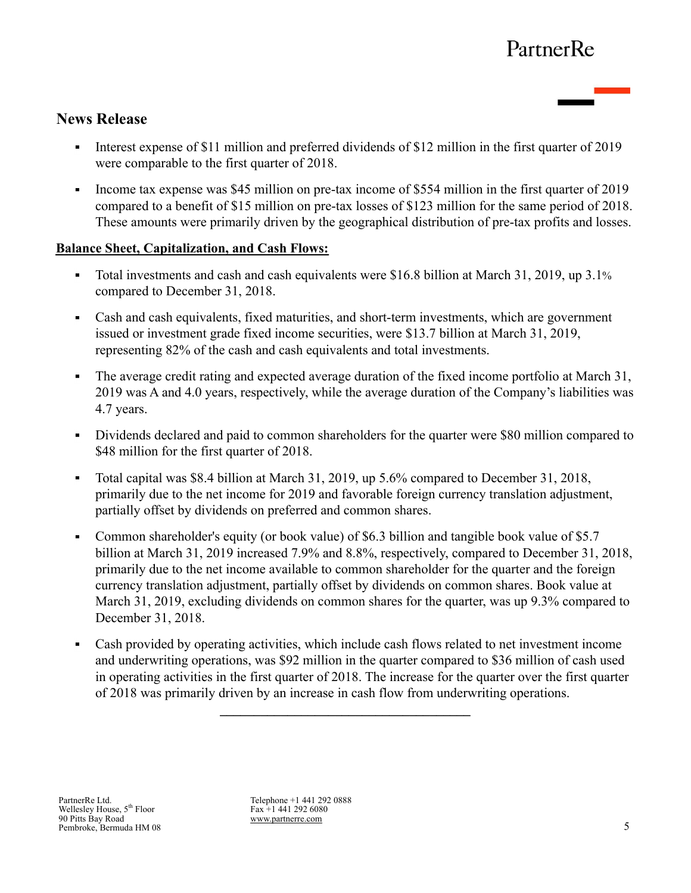## **News Release**

- Interest expense of \$11 million and preferred dividends of \$12 million in the first quarter of 2019  $\mathbf{u} = \mathbf{0}$ were comparable to the first quarter of 2018.
- Income tax expense was \$45 million on pre-tax income of \$554 million in the first quarter of 2019 compared to a benefit of \$15 million on pre-tax losses of \$123 million for the same period of 2018. These amounts were primarily driven by the geographical distribution of pre-tax profits and losses.

## **Balance Sheet, Capitalization, and Cash Flows:**

- Total investments and cash and cash equivalents were \$16.8 billion at March 31, 2019, up 3.1% compared to December 31, 2018.
- Cash and cash equivalents, fixed maturities, and short-term investments, which are government issued or investment grade fixed income securities, were \$13.7 billion at March 31, 2019, representing 82% of the cash and cash equivalents and total investments.
- The average credit rating and expected average duration of the fixed income portfolio at March 31, 2019 was A and 4.0 years, respectively, while the average duration of the Company's liabilities was 4.7 years.
- Dividends declared and paid to common shareholders for the quarter were \$80 million compared to \$48 million for the first quarter of 2018.
- Total capital was \$8.4 billion at March 31, 2019, up 5.6% compared to December 31, 2018,  $\blacksquare$ primarily due to the net income for 2019 and favorable foreign currency translation adjustment, partially offset by dividends on preferred and common shares.
- Common shareholder's equity (or book value) of \$6.3 billion and tangible book value of \$5.7  $\mathbf{u}$  . billion at March 31, 2019 increased 7.9% and 8.8%, respectively, compared to December 31, 2018, primarily due to the net income available to common shareholder for the quarter and the foreign currency translation adjustment, partially offset by dividends on common shares. Book value at March 31, 2019, excluding dividends on common shares for the quarter, was up 9.3% compared to December 31, 2018.
- Cash provided by operating activities, which include cash flows related to net investment income  $\blacksquare$ and underwriting operations, was \$92 million in the quarter compared to \$36 million of cash used in operating activities in the first quarter of 2018. The increase for the quarter over the first quarter of 2018 was primarily driven by an increase in cash flow from underwriting operations.

 $\mathcal{L} = \{ \mathcal{L} \}$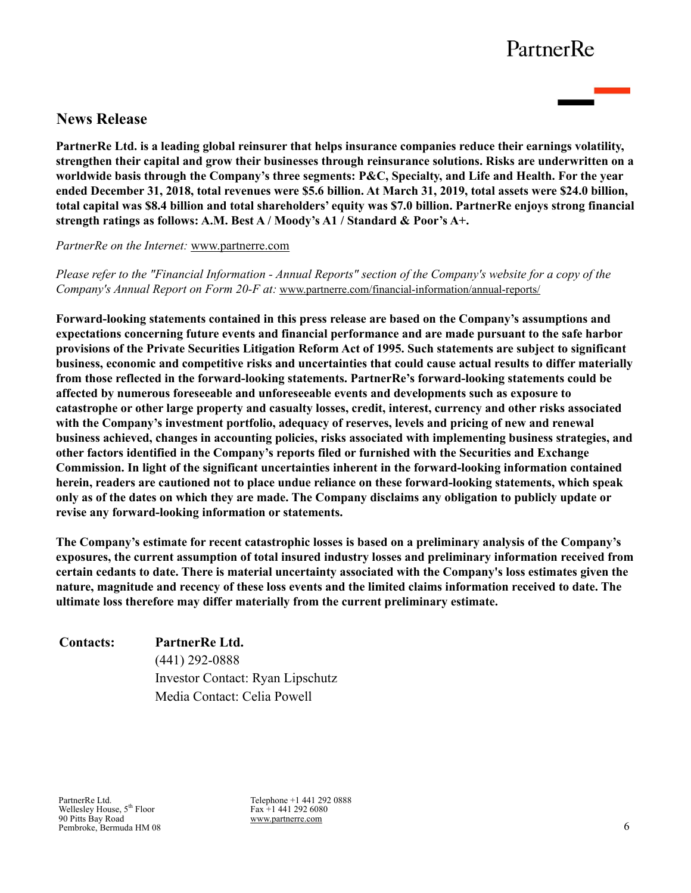## **News Release**

**PartnerRe Ltd. is a leading global reinsurer that helps insurance companies reduce their earnings volatility, strengthen their capital and grow their businesses through reinsurance solutions. Risks are underwritten on a worldwide basis through the Company's three segments: P&C, Specialty, and Life and Health. For the year ended December 31, 2018, total revenues were \$5.6 billion. At March 31, 2019, total assets were \$24.0 billion, total capital was \$8.4 billion and total shareholders' equity was \$7.0 billion. PartnerRe enjoys strong financial strength ratings as follows: A.M. Best A / Moody's A1 / Standard & Poor's A+.** 

*PartnerRe on the Internet:* www.partnerre.com

*Please refer to the "Financial Information - Annual Reports" section of the Company's website for a copy of the Company's Annual Report on Form 20-F at:* www.partnerre.com/financial-information/annual-reports/

**Forward-looking statements contained in this press release are based on the Company's assumptions and expectations concerning future events and financial performance and are made pursuant to the safe harbor provisions of the Private Securities Litigation Reform Act of 1995. Such statements are subject to significant business, economic and competitive risks and uncertainties that could cause actual results to differ materially from those reflected in the forward-looking statements. PartnerRe's forward-looking statements could be affected by numerous foreseeable and unforeseeable events and developments such as exposure to catastrophe or other large property and casualty losses, credit, interest, currency and other risks associated with the Company's investment portfolio, adequacy of reserves, levels and pricing of new and renewal business achieved, changes in accounting policies, risks associated with implementing business strategies, and other factors identified in the Company's reports filed or furnished with the Securities and Exchange Commission. In light of the significant uncertainties inherent in the forward-looking information contained herein, readers are cautioned not to place undue reliance on these forward-looking statements, which speak only as of the dates on which they are made. The Company disclaims any obligation to publicly update or revise any forward-looking information or statements.** 

**The Company's estimate for recent catastrophic losses is based on a preliminary analysis of the Company's exposures, the current assumption of total insured industry losses and preliminary information received from certain cedants to date. There is material uncertainty associated with the Company's loss estimates given the nature, magnitude and recency of these loss events and the limited claims information received to date. The ultimate loss therefore may differ materially from the current preliminary estimate.**

| <b>Contacts:</b> | PartnerRe Ltd.                   |
|------------------|----------------------------------|
|                  | $(441)$ 292-0888                 |
|                  | Investor Contact: Ryan Lipschutz |
|                  | Media Contact: Celia Powell      |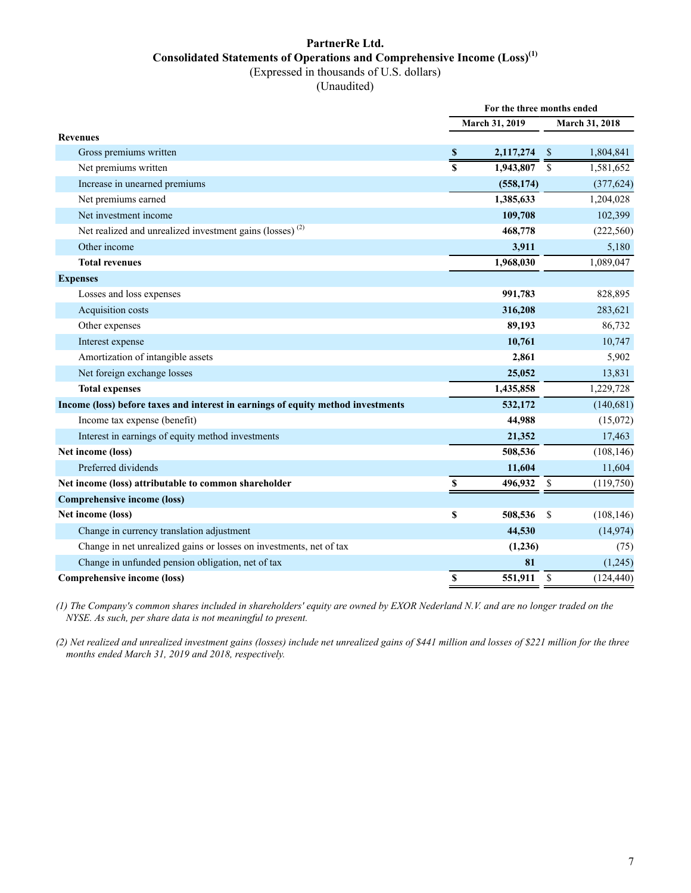### **PartnerRe Ltd. Consolidated Statements of Operations and Comprehensive Income (Loss)(1)** (Expressed in thousands of U.S. dollars)

(Unaudited)

|                                                                                  | For the three months ended |                |              |                |  |
|----------------------------------------------------------------------------------|----------------------------|----------------|--------------|----------------|--|
|                                                                                  |                            | March 31, 2019 |              | March 31, 2018 |  |
| <b>Revenues</b>                                                                  |                            |                |              |                |  |
| Gross premiums written                                                           |                            | 2,117,274      | <sup>S</sup> | 1,804,841      |  |
| Net premiums written                                                             |                            | 1,943,807      | \$           | 1,581,652      |  |
| Increase in unearned premiums                                                    |                            | (558, 174)     |              | (377, 624)     |  |
| Net premiums earned                                                              |                            | 1,385,633      |              | 1,204,028      |  |
| Net investment income                                                            |                            | 109,708        |              | 102,399        |  |
| Net realized and unrealized investment gains (losses) <sup>(2)</sup>             |                            | 468,778        |              | (222, 560)     |  |
| Other income                                                                     |                            | 3,911          |              | 5,180          |  |
| <b>Total revenues</b>                                                            |                            | 1,968,030      |              | 1,089,047      |  |
| <b>Expenses</b>                                                                  |                            |                |              |                |  |
| Losses and loss expenses                                                         |                            | 991,783        |              | 828,895        |  |
| Acquisition costs                                                                |                            | 316,208        |              | 283,621        |  |
| Other expenses                                                                   |                            | 89,193         |              | 86,732         |  |
| Interest expense                                                                 |                            | 10,761         |              | 10,747         |  |
| Amortization of intangible assets                                                |                            | 2,861          |              | 5,902          |  |
| Net foreign exchange losses                                                      |                            | 25,052         |              | 13,831         |  |
| <b>Total expenses</b>                                                            |                            | 1,435,858      |              | 1,229,728      |  |
| Income (loss) before taxes and interest in earnings of equity method investments |                            | 532,172        |              | (140, 681)     |  |
| Income tax expense (benefit)                                                     |                            | 44,988         |              | (15,072)       |  |
| Interest in earnings of equity method investments                                |                            | 21,352         |              | 17,463         |  |
| Net income (loss)                                                                |                            | 508,536        |              | (108, 146)     |  |
| Preferred dividends                                                              |                            | 11,604         |              | 11,604         |  |
| Net income (loss) attributable to common shareholder                             | \$                         | 496,932        | -\$          | (119,750)      |  |
| <b>Comprehensive income (loss)</b>                                               |                            |                |              |                |  |
| Net income (loss)                                                                | \$                         | 508,536        | <sup>S</sup> | (108, 146)     |  |
| Change in currency translation adjustment                                        |                            | 44,530         |              | (14, 974)      |  |
| Change in net unrealized gains or losses on investments, net of tax              |                            | (1,236)        |              | (75)           |  |
| Change in unfunded pension obligation, net of tax                                |                            | 81             |              | (1,245)        |  |
| <b>Comprehensive income (loss)</b>                                               | $\mathbb S$                | 551,911        | \$           | (124, 440)     |  |

*(1) The Company's common shares included in shareholders' equity are owned by EXOR Nederland N.V. and are no longer traded on the NYSE. As such, per share data is not meaningful to present.*

*(2) Net realized and unrealized investment gains (losses) include net unrealized gains of \$441 million and losses of \$221 million for the three months ended March 31, 2019 and 2018, respectively.*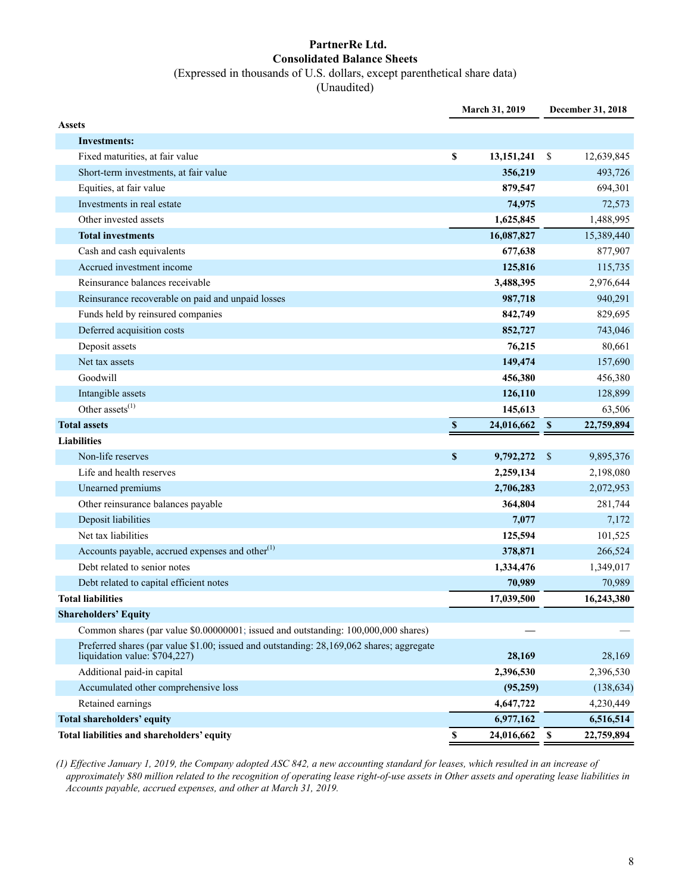# **PartnerRe Ltd. Consolidated Balance Sheets**

(Expressed in thousands of U.S. dollars, except parenthetical share data)

(Unaudited)

|                                                                                                                           |                           | March 31, 2019 |               | December 31, 2018 |
|---------------------------------------------------------------------------------------------------------------------------|---------------------------|----------------|---------------|-------------------|
| <b>Assets</b>                                                                                                             |                           |                |               |                   |
| <b>Investments:</b>                                                                                                       |                           |                |               |                   |
| Fixed maturities, at fair value                                                                                           | \$                        | 13, 151, 241   | <sup>\$</sup> | 12,639,845        |
| Short-term investments, at fair value                                                                                     |                           | 356,219        |               | 493,726           |
| Equities, at fair value                                                                                                   |                           | 879,547        |               | 694,301           |
| Investments in real estate                                                                                                |                           | 74,975         |               | 72,573            |
| Other invested assets                                                                                                     |                           | 1,625,845      |               | 1,488,995         |
| <b>Total investments</b>                                                                                                  |                           | 16,087,827     |               | 15,389,440        |
| Cash and cash equivalents                                                                                                 |                           | 677,638        |               | 877,907           |
| Accrued investment income                                                                                                 |                           | 125,816        |               | 115,735           |
| Reinsurance balances receivable                                                                                           |                           | 3,488,395      |               | 2,976,644         |
| Reinsurance recoverable on paid and unpaid losses                                                                         |                           | 987,718        |               | 940,291           |
| Funds held by reinsured companies                                                                                         |                           | 842,749        |               | 829,695           |
| Deferred acquisition costs                                                                                                |                           | 852,727        |               | 743,046           |
| Deposit assets                                                                                                            |                           | 76,215         |               | 80,661            |
| Net tax assets                                                                                                            |                           | 149,474        |               | 157,690           |
| Goodwill                                                                                                                  |                           | 456,380        |               | 456,380           |
| Intangible assets                                                                                                         |                           | 126,110        |               | 128,899           |
| Other assets $^{(1)}$                                                                                                     |                           | 145,613        |               | 63,506            |
| <b>Total assets</b>                                                                                                       | $\mathbb S$               | 24,016,662     | $\mathbf s$   | 22,759,894        |
| <b>Liabilities</b>                                                                                                        |                           |                |               |                   |
| Non-life reserves                                                                                                         | $\mathbf{s}$              | 9,792,272      | $\mathcal{S}$ | 9,895,376         |
| Life and health reserves                                                                                                  |                           | 2,259,134      |               | 2,198,080         |
| Unearned premiums                                                                                                         |                           | 2,706,283      |               | 2,072,953         |
| Other reinsurance balances payable                                                                                        |                           | 364,804        |               | 281,744           |
| Deposit liabilities                                                                                                       |                           | 7,077          |               | 7,172             |
| Net tax liabilities                                                                                                       |                           | 125,594        |               | 101,525           |
| Accounts payable, accrued expenses and other <sup>(1)</sup>                                                               |                           | 378,871        |               | 266,524           |
| Debt related to senior notes                                                                                              |                           | 1,334,476      |               | 1,349,017         |
| Debt related to capital efficient notes                                                                                   |                           | 70,989         |               | 70,989            |
| <b>Total liabilities</b>                                                                                                  |                           | 17,039,500     |               | 16,243,380        |
| <b>Shareholders' Equity</b>                                                                                               |                           |                |               |                   |
| Common shares (par value \$0.00000001; issued and outstanding: 100,000,000 shares)                                        |                           |                |               |                   |
| Preferred shares (par value \$1.00; issued and outstanding: 28,169,062 shares; aggregate<br>liquidation value: \$704,227) |                           | 28,169         |               | 28,169            |
| Additional paid-in capital                                                                                                |                           | 2,396,530      |               | 2,396,530         |
| Accumulated other comprehensive loss                                                                                      |                           | (95,259)       |               | (138, 634)        |
| Retained earnings                                                                                                         |                           | 4,647,722      |               | 4,230,449         |
| Total shareholders' equity                                                                                                |                           | 6,977,162      |               | 6,516,514         |
| Total liabilities and shareholders' equity                                                                                | $\boldsymbol{\mathsf{s}}$ | 24,016,662     | \$            | 22,759,894        |

*(1) Effective January 1, 2019, the Company adopted ASC 842, a new accounting standard for leases, which resulted in an increase of approximately \$80 million related to the recognition of operating lease right-of-use assets in Other assets and operating lease liabilities in Accounts payable, accrued expenses, and other at March 31, 2019.*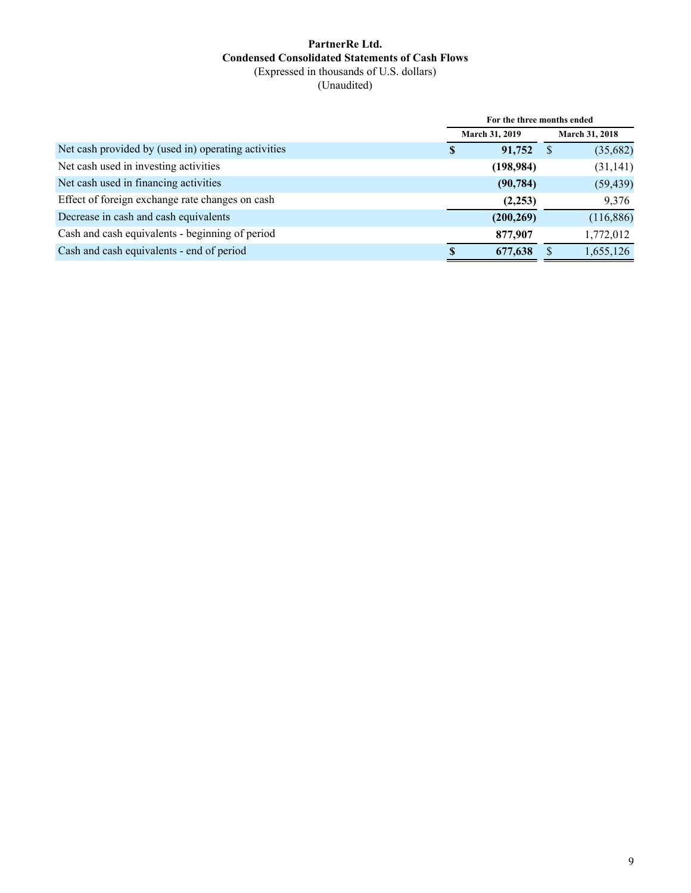### **PartnerRe Ltd. Condensed Consolidated Statements of Cash Flows** (Expressed in thousands of U.S. dollars)

(Unaudited)

|                                                     | For the three months ended |                       |    |                       |  |
|-----------------------------------------------------|----------------------------|-----------------------|----|-----------------------|--|
|                                                     |                            | <b>March 31, 2019</b> |    | <b>March 31, 2018</b> |  |
| Net cash provided by (used in) operating activities | S                          | 91,752                | -S | (35,682)              |  |
| Net cash used in investing activities               |                            | (198, 984)            |    | (31, 141)             |  |
| Net cash used in financing activities               |                            | (90, 784)             |    | (59, 439)             |  |
| Effect of foreign exchange rate changes on cash     |                            | (2,253)               |    | 9,376                 |  |
| Decrease in cash and cash equivalents               |                            | (200, 269)            |    | (116, 886)            |  |
| Cash and cash equivalents - beginning of period     |                            | 877,907               |    | 1,772,012             |  |
| Cash and cash equivalents - end of period           |                            | 677,638               |    | 1,655,126             |  |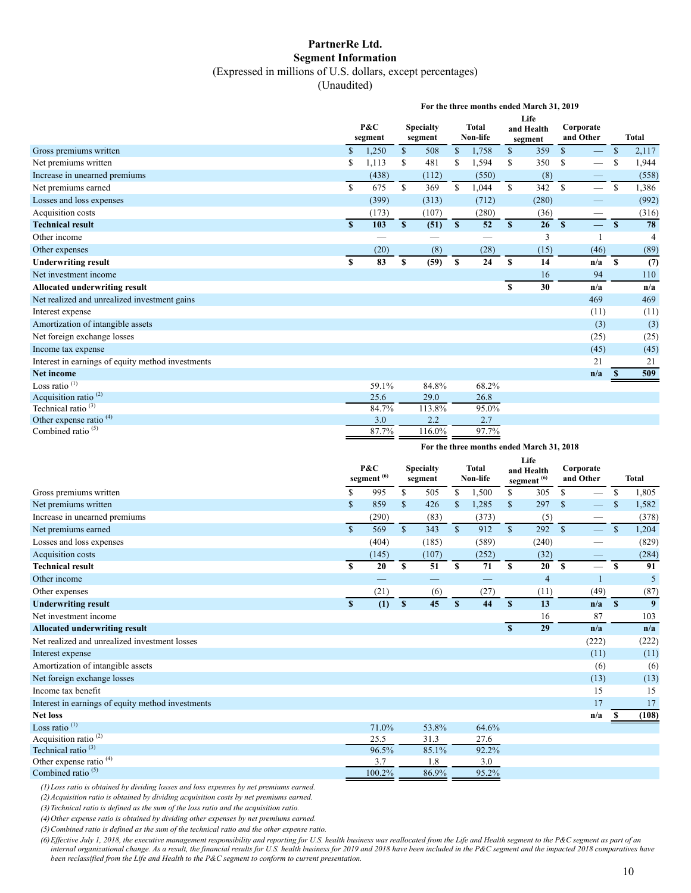#### **PartnerRe Ltd. Segment Information** (Expressed in millions of U.S. dollars, except percentages)

(Unaudited)

|                                                   | For the three months ended March 31, 2019 |                |              |                             |                         |                          |              |                               |                        |                               |               |              |
|---------------------------------------------------|-------------------------------------------|----------------|--------------|-----------------------------|-------------------------|--------------------------|--------------|-------------------------------|------------------------|-------------------------------|---------------|--------------|
|                                                   |                                           | P&C<br>segment |              | <b>Specialty</b><br>segment |                         | <b>Total</b><br>Non-life |              | Life<br>and Health<br>segment | Corporate<br>and Other |                               |               | <b>Total</b> |
| Gross premiums written                            | $\mathbf S$                               | 1,250          | $\mathbb{S}$ | 508                         | $\mathbb{S}$            | 1,758                    | $\mathbb{S}$ | 359                           | $\mathbb{S}$           | $\overline{\phantom{0}}$      | $\mathcal{S}$ | 2,117        |
| Net premiums written                              |                                           | 1,113          | \$           | 481                         |                         | 1,594                    |              | 350                           | \$                     |                               |               | 1,944        |
| Increase in unearned premiums                     |                                           | (438)          |              | (112)                       |                         | (550)                    |              | (8)                           |                        | —                             |               | (558)        |
| Net premiums earned                               | $\mathbf S$                               | 675            | $\mathbb{S}$ | 369                         | $\mathbf S$             | 1,044                    | \$           | 342                           | $\mathbb{S}$           | $\overline{\phantom{0}}$      | $\mathbf S$   | 1,386        |
| Losses and loss expenses                          |                                           | (399)          |              | (313)                       |                         | (712)                    |              | (280)                         |                        |                               |               | (992)        |
| Acquisition costs                                 |                                           | (173)          |              | (107)                       |                         | (280)                    |              | (36)                          |                        | $\overbrace{\phantom{13333}}$ |               | (316)        |
| <b>Technical result</b>                           | $\mathbf{s}$                              | 103            | $\mathbf{s}$ | (51)                        | $\overline{\mathbf{s}}$ | 52                       | S            | 26                            | $\mathbf{s}$           |                               | S             | 78           |
| Other income                                      |                                           |                |              |                             |                         |                          |              | 3                             |                        |                               |               | 4            |
| Other expenses                                    |                                           | (20)           |              | (8)                         |                         | (28)                     |              | (15)                          |                        | (46)                          |               | (89)         |
| <b>Underwriting result</b>                        | S                                         | 83             | \$           | (59)                        | <sup>\$</sup>           | 24                       | S            | 14                            |                        | n/a                           | S             | (7)          |
| Net investment income                             |                                           |                |              |                             |                         |                          |              | 16                            |                        | 94                            |               | 110          |
| Allocated underwriting result                     |                                           |                |              |                             |                         |                          | $\mathbf S$  | 30                            |                        | n/a                           |               | n/a          |
| Net realized and unrealized investment gains      |                                           |                |              |                             |                         |                          |              |                               |                        | 469                           |               | 469          |
| Interest expense                                  |                                           |                |              |                             |                         |                          |              |                               |                        | (11)                          |               | (11)         |
| Amortization of intangible assets                 |                                           |                |              |                             |                         |                          |              |                               |                        | (3)                           |               | (3)          |
| Net foreign exchange losses                       |                                           |                |              |                             |                         |                          |              |                               |                        | (25)                          |               | (25)         |
| Income tax expense                                |                                           |                |              |                             |                         |                          |              |                               |                        | (45)                          |               | (45)         |
| Interest in earnings of equity method investments |                                           |                |              |                             |                         |                          |              |                               |                        | 21                            |               | 21           |
| <b>Net income</b>                                 |                                           |                |              |                             |                         |                          |              |                               |                        | n/a                           |               | 509          |
| Loss ratio $(1)$                                  |                                           | 59.1%          |              | 84.8%                       |                         | 68.2%                    |              |                               |                        |                               |               |              |
| Acquisition ratio <sup>(2)</sup>                  |                                           | 25.6           |              | 29.0                        |                         | 26.8                     |              |                               |                        |                               |               |              |
| Technical ratio <sup>(3)</sup>                    |                                           | 84.7%          |              | 113.8%                      |                         | 95.0%                    |              |                               |                        |                               |               |              |
| Other expense ratio <sup>(4)</sup>                |                                           | 3.0            |              | 2.2                         |                         | 2.7                      |              |                               |                        |                               |               |              |
| Combined ratio $(5)$                              |                                           | 87.7%          |              | 116.0%                      |                         | 97.7%                    |              |                               |                        |                               |               |              |

**For the three months ended March 31, 2018**

|                                                   |             | P&C<br>segment <sup>(6)</sup> |               | <b>Specialty</b><br>segment |               | <b>Total</b><br>Non-life |                    | Life<br>and Health<br>segment <sup>(6)</sup> | Corporate<br>and Other |                          |              | <b>Total</b> |
|---------------------------------------------------|-------------|-------------------------------|---------------|-----------------------------|---------------|--------------------------|--------------------|----------------------------------------------|------------------------|--------------------------|--------------|--------------|
| Gross premiums written                            | S           | 995                           | S.            | 505                         | S.            | 1,500                    | \$                 | 305                                          | S.                     | $\overline{\phantom{0}}$ | \$           | 1,805        |
| Net premiums written                              | \$          | 859                           | $\mathcal{S}$ | 426                         | <sup>\$</sup> | 1,285                    | $\mathbf{\hat{s}}$ | 297                                          | $\mathbf{\hat{s}}$     |                          |              | 1,582        |
| Increase in unearned premiums                     |             | (290)                         |               | (83)                        |               | (373)                    |                    | (5)                                          |                        |                          |              | (378)        |
| Net premiums earned                               | $\mathbf S$ | 569                           | $\mathbf{s}$  | 343                         | $\mathbb{S}$  | 912                      | S                  | 292                                          | $\mathcal{S}$          | $\equiv$                 | $\mathbb{S}$ | 1,204        |
| Losses and loss expenses                          |             | (404)                         |               | (185)                       |               | (589)                    |                    | (240)                                        |                        |                          |              | (829)        |
| Acquisition costs                                 |             | (145)                         |               | (107)                       |               | (252)                    |                    | (32)                                         |                        | --                       |              | (284)        |
| <b>Technical result</b>                           | \$          | 20                            | S             | 51                          | S             | 71                       | S                  | 20                                           | $\mathbf{s}$           | $\overline{\phantom{0}}$ | S            | 91           |
| Other income                                      |             |                               |               |                             |               |                          |                    | $\overline{4}$                               |                        | $\mathbf{1}$             |              | 5            |
| Other expenses                                    |             | (21)                          |               | (6)                         |               | (27)                     |                    | (11)                                         |                        | (49)                     |              | (87)         |
| <b>Underwriting result</b>                        | S           | (1)                           | $\mathbf{s}$  | 45                          | S             | 44                       | S                  | 13                                           |                        | n/a                      | $\mathbf{s}$ | 9            |
| Net investment income                             |             |                               |               |                             |               |                          |                    | 16                                           |                        | 87                       |              | 103          |
| <b>Allocated underwriting result</b>              |             |                               |               |                             |               |                          | S                  | 29                                           |                        | n/a                      |              | n/a          |
| Net realized and unrealized investment losses     |             |                               |               |                             |               |                          |                    |                                              |                        | (222)                    |              | (222)        |
| Interest expense                                  |             |                               |               |                             |               |                          |                    |                                              |                        | (11)                     |              | (11)         |
| Amortization of intangible assets                 |             |                               |               |                             |               |                          |                    |                                              |                        | (6)                      |              | (6)          |
| Net foreign exchange losses                       |             |                               |               |                             |               |                          |                    |                                              |                        | (13)                     |              | (13)         |
| Income tax benefit                                |             |                               |               |                             |               |                          |                    |                                              |                        | 15                       |              | 15           |
| Interest in earnings of equity method investments |             |                               |               |                             |               |                          |                    |                                              |                        | 17                       |              | 17           |
| <b>Net loss</b>                                   |             |                               |               |                             |               |                          |                    |                                              |                        | n/a                      |              | (108)        |
| Loss ratio <sup>(1)</sup>                         |             | 71.0%                         |               | 53.8%                       |               | 64.6%                    |                    |                                              |                        |                          |              |              |
| Acquisition ratio <sup>(2)</sup>                  |             | 25.5                          |               | 31.3                        |               | 27.6                     |                    |                                              |                        |                          |              |              |
| Technical ratio <sup>(3)</sup>                    |             | 96.5%                         |               | 85.1%                       |               | 92.2%                    |                    |                                              |                        |                          |              |              |
| Other expense ratio <sup>(4)</sup>                |             | 3.7                           |               | 1.8                         |               | 3.0                      |                    |                                              |                        |                          |              |              |
| Combined ratio <sup>(5)</sup>                     |             | 100.2%                        |               | 86.9%                       |               | 95.2%                    |                    |                                              |                        |                          |              |              |

*(1) Loss ratio is obtained by dividing losses and loss expenses by net premiums earned.*

*(2) Acquisition ratio is obtained by dividing acquisition costs by net premiums earned.*

*(3) Technical ratio is defined as the sum of the loss ratio and the acquisition ratio.*

*(4) Other expense ratio is obtained by dividing other expenses by net premiums earned.*

*(5) Combined ratio is defined as the sum of the technical ratio and the other expense ratio.*

*(6) Effective July 1, 2018, the executive management responsibility and reporting for U.S. health business was reallocated from the Life and Health segment to the P&C segment as part of an internal organizational change. As a result, the financial results for U.S. health business for 2019 and 2018 have been included in the P&C segment and the impacted 2018 comparatives have been reclassified from the Life and Health to the P&C segment to conform to current presentation.*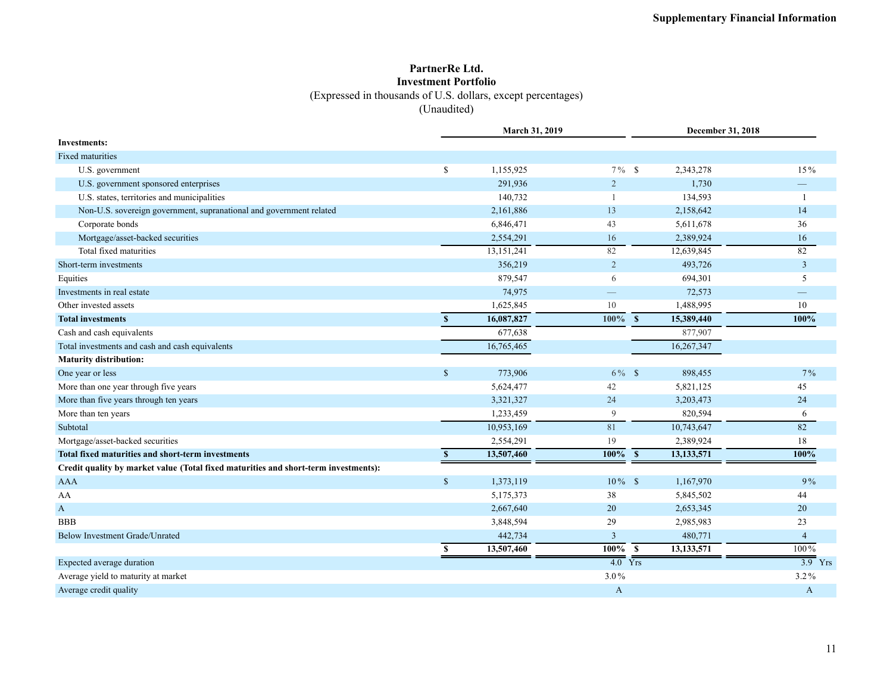### **PartnerRe Ltd. Investment Portfolio** (Expressed in thousands of U.S. dollars, except percentages) (Unaudited)

|                                                                                     |               | March 31, 2019 |                      |                                       | <b>December 31, 2018</b>  |
|-------------------------------------------------------------------------------------|---------------|----------------|----------------------|---------------------------------------|---------------------------|
| <b>Investments:</b>                                                                 |               |                |                      |                                       |                           |
| <b>Fixed maturities</b>                                                             |               |                |                      |                                       |                           |
| U.S. government                                                                     | \$            | 1,155,925      | $7\%$ \$             | 2,343,278                             | 15%                       |
| U.S. government sponsored enterprises                                               |               | 291,936        | $\overline{2}$       |                                       | 1,730                     |
| U.S. states, territories and municipalities                                         |               | 140,732        |                      |                                       | 134,593                   |
| Non-U.S. sovereign government, supranational and government related                 |               | 2,161,886      | 13                   | 2,158,642                             | 14                        |
| Corporate bonds                                                                     |               | 6,846,471      | 43                   | 5,611,678                             | 36                        |
| Mortgage/asset-backed securities                                                    |               | 2,554,291      | 16                   | 2,389,924                             | 16                        |
| Total fixed maturities                                                              |               | 13,151,241     | 82                   | 12,639,845                            | 82                        |
| Short-term investments                                                              |               | 356,219        | $\overline{2}$       |                                       | $\mathfrak{Z}$<br>493,726 |
| Equities                                                                            |               | 879,547        | 6                    |                                       | 694,301<br>5              |
| Investments in real estate                                                          |               | 74,975         |                      |                                       | 72,573                    |
| Other invested assets                                                               |               | 1,625,845      | 10                   | 1,488,995                             | 10                        |
| <b>Total investments</b>                                                            | S             | 16,087,827     | 100%                 | $\overline{\mathbf{s}}$<br>15,389,440 | 100%                      |
| Cash and cash equivalents                                                           |               | 677,638        |                      |                                       | 877,907                   |
| Total investments and cash and cash equivalents                                     |               | 16,765,465     |                      | 16,267,347                            |                           |
| <b>Maturity distribution:</b>                                                       |               |                |                      |                                       |                           |
| One year or less                                                                    | $\mathsf{\$}$ | 773,906        | $6\%$ \$             |                                       | 898,455<br>$7\%$          |
| More than one year through five years                                               |               | 5,624,477      | 42                   | 5,821,125                             | 45                        |
| More than five years through ten years                                              |               | 3,321,327      | 24                   | 3,203,473                             | 24                        |
| More than ten years                                                                 |               | 1,233,459      | 9                    |                                       | 820,594<br>6              |
| Subtotal                                                                            |               | 10,953,169     | 81                   | 10,743,647                            | 82                        |
| Mortgage/asset-backed securities                                                    |               | 2,554,291      | 19                   | 2,389,924                             | 18                        |
| Total fixed maturities and short-term investments                                   | $\mathbf{s}$  | 13,507,460     | $100\%$ \$           | 13, 133, 571                          | 100%                      |
| Credit quality by market value (Total fixed maturities and short-term investments): |               |                |                      |                                       |                           |
| <b>AAA</b>                                                                          | $\mathsf{\$}$ | 1,373,119      | $10\%$ \$            | 1,167,970                             | 9%                        |
| AA                                                                                  |               | 5,175,373      | 38                   | 5,845,502                             | 44                        |
| $\mathbf{A}$                                                                        |               | 2,667,640      | 20                   | 2,653,345                             | 20                        |
| <b>BBB</b>                                                                          |               | 3,848,594      | 29                   | 2,985,983                             | 23                        |
| Below Investment Grade/Unrated                                                      |               | 442,734        | $\overline{3}$       |                                       | 480,771<br>$\overline{4}$ |
|                                                                                     | <sup>\$</sup> | 13,507,460     | $\frac{100\%}{S}$    | 13,133,571                            | $100\%$                   |
| Expected average duration                                                           |               |                | $\overline{4.0}$ Yrs |                                       | $\overline{3.9}$ Yrs      |
| Average yield to maturity at market                                                 |               |                | $3.0\%$              |                                       | 3.2%                      |
| Average credit quality                                                              |               |                | A                    |                                       | $\mathbf{A}$              |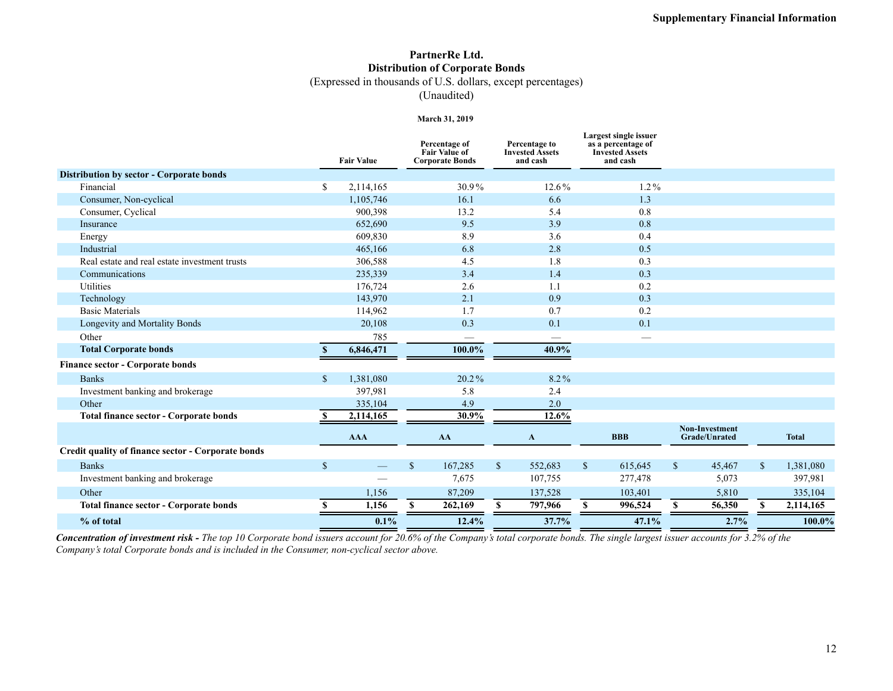## **PartnerRe Ltd. Distribution of Corporate Bonds**

(Expressed in thousands of U.S. dollars, except percentages)

(Unaudited)

#### **March 31, 2019**

|                                                    |              | <b>Fair Value</b>                         | Percentage of<br><b>Fair Value of</b><br><b>Corporate Bonds</b> | Percentage to<br><b>Invested Assets</b><br>and cash |              | Largest single issuer<br>as a percentage of<br><b>Invested Assets</b><br>and cash |              |                                               |              |              |
|----------------------------------------------------|--------------|-------------------------------------------|-----------------------------------------------------------------|-----------------------------------------------------|--------------|-----------------------------------------------------------------------------------|--------------|-----------------------------------------------|--------------|--------------|
| Distribution by sector - Corporate bonds           |              |                                           |                                                                 |                                                     |              |                                                                                   |              |                                               |              |              |
| Financial                                          | \$           | 2,114,165                                 | 30.9%                                                           | 12.6%                                               |              | $1.2\%$                                                                           |              |                                               |              |              |
| Consumer, Non-cyclical                             |              | 1,105,746                                 | 16.1                                                            | 6.6                                                 |              | 1.3                                                                               |              |                                               |              |              |
| Consumer, Cyclical                                 |              | 900,398                                   | 13.2                                                            | 5.4                                                 |              | 0.8                                                                               |              |                                               |              |              |
| Insurance                                          |              | 652,690                                   | 9.5                                                             | 3.9                                                 |              | 0.8                                                                               |              |                                               |              |              |
| Energy                                             |              | 609,830                                   | 8.9                                                             | 3.6                                                 |              | 0.4                                                                               |              |                                               |              |              |
| Industrial                                         |              | 465,166                                   | 6.8                                                             | 2.8                                                 |              | 0.5                                                                               |              |                                               |              |              |
| Real estate and real estate investment trusts      |              | 306,588                                   | 4.5                                                             | 1.8                                                 |              | 0.3                                                                               |              |                                               |              |              |
| Communications                                     |              | 235,339                                   | 3.4                                                             | 1.4                                                 |              | 0.3                                                                               |              |                                               |              |              |
| Utilities                                          |              | 176,724                                   | 2.6                                                             | 1.1                                                 |              | 0.2                                                                               |              |                                               |              |              |
| Technology                                         |              | 143,970                                   | 2.1                                                             | 0.9                                                 |              | 0.3                                                                               |              |                                               |              |              |
| <b>Basic Materials</b>                             |              | 114,962                                   | 1.7                                                             | 0.7                                                 |              | 0.2                                                                               |              |                                               |              |              |
| Longevity and Mortality Bonds                      |              | 20,108                                    | 0.3                                                             | 0.1                                                 |              | 0.1                                                                               |              |                                               |              |              |
| Other                                              |              | 785                                       | —                                                               |                                                     |              | $\overline{\phantom{0}}$                                                          |              |                                               |              |              |
| <b>Total Corporate bonds</b>                       |              | 6,846,471                                 | 100.0%                                                          | 40.9%                                               |              |                                                                                   |              |                                               |              |              |
| <b>Finance sector - Corporate bonds</b>            |              |                                           |                                                                 |                                                     |              |                                                                                   |              |                                               |              |              |
| <b>Banks</b>                                       | $\mathbf{s}$ | 1,381,080                                 | $20.2\%$                                                        | 8.2%                                                |              |                                                                                   |              |                                               |              |              |
| Investment banking and brokerage                   |              | 397,981                                   | 5.8                                                             | 2.4                                                 |              |                                                                                   |              |                                               |              |              |
| Other                                              |              | 335,104                                   | 4.9                                                             | 2.0                                                 |              |                                                                                   |              |                                               |              |              |
| <b>Total finance sector - Corporate bonds</b>      |              | 2,114,165                                 | 30.9%                                                           | 12.6%                                               |              |                                                                                   |              |                                               |              |              |
|                                                    |              | <b>AAA</b>                                | AA                                                              | A                                                   |              | <b>BBB</b>                                                                        |              | <b>Non-Investment</b><br><b>Grade/Unrated</b> |              | <b>Total</b> |
| Credit quality of finance sector - Corporate bonds |              |                                           |                                                                 |                                                     |              |                                                                                   |              |                                               |              |              |
| <b>Banks</b>                                       | $\mathbf{s}$ | $\qquad \qquad \overline{\qquad \qquad }$ | $\mathbb{S}$<br>167,285                                         | $\mathbb{S}$<br>552,683                             | $\mathbb{S}$ | 615,645                                                                           | $\mathbf{s}$ | 45,467                                        | $\mathbb{S}$ | 1,381,080    |
| Investment banking and brokerage                   |              |                                           | 7.675                                                           | 107,755                                             |              | 277,478                                                                           |              | 5,073                                         |              | 397,981      |
| Other                                              |              | 1,156                                     | 87,209                                                          | 137,528                                             |              | 103,401                                                                           |              | 5,810                                         |              | 335,104      |
| <b>Total finance sector - Corporate bonds</b>      | -S           | 1,156                                     | 262,169<br>S.                                                   | 797,966<br>S.                                       | S            | 996,524                                                                           | S.           | 56,350                                        | \$.          | 2,114,165    |
| % of total                                         |              | 0.1%                                      | 12.4%                                                           | 37.7%                                               |              | 47.1%                                                                             |              | 2.7%                                          |              | 100.0%       |

*Concentration of investment risk - The top 10 Corporate bond issuers account for 20.6% of the Company's total corporate bonds. The single largest issuer accounts for 3.2% of the Company's total Corporate bonds and is included in the Consumer, non-cyclical sector above.*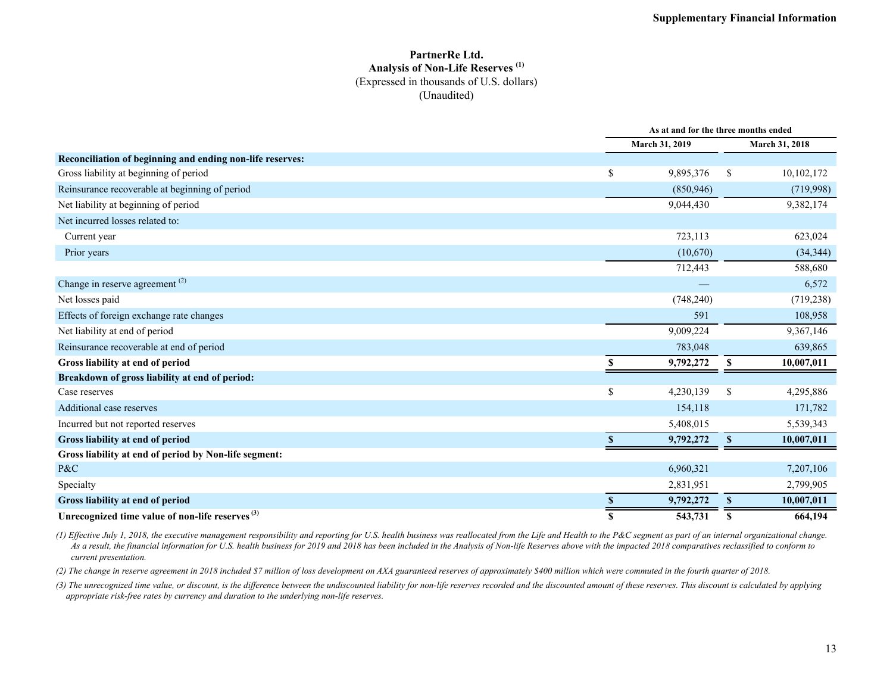#### **PartnerRe Ltd. Analysis of Non-Life Reserves (1)** (Expressed in thousands of U.S. dollars) (Unaudited)

|                                                             |     | As at and for the three months ended |               |                |  |  |
|-------------------------------------------------------------|-----|--------------------------------------|---------------|----------------|--|--|
|                                                             |     | March 31, 2019                       |               | March 31, 2018 |  |  |
| Reconciliation of beginning and ending non-life reserves:   |     |                                      |               |                |  |  |
| Gross liability at beginning of period                      | \$  | 9,895,376                            | <sup>\$</sup> | 10,102,172     |  |  |
| Reinsurance recoverable at beginning of period              |     | (850, 946)                           |               | (719,998)      |  |  |
| Net liability at beginning of period                        |     | 9,044,430                            |               | 9,382,174      |  |  |
| Net incurred losses related to:                             |     |                                      |               |                |  |  |
| Current year                                                |     | 723,113                              |               | 623,024        |  |  |
| Prior years                                                 |     | (10,670)                             |               | (34, 344)      |  |  |
|                                                             |     | 712,443                              |               | 588,680        |  |  |
| Change in reserve agreement <sup>(2)</sup>                  |     |                                      |               | 6,572          |  |  |
| Net losses paid                                             |     | (748, 240)                           |               | (719, 238)     |  |  |
| Effects of foreign exchange rate changes                    |     | 591                                  |               | 108,958        |  |  |
| Net liability at end of period                              |     | 9,009,224                            |               | 9,367,146      |  |  |
| Reinsurance recoverable at end of period                    |     | 783,048                              |               | 639,865        |  |  |
| Gross liability at end of period                            | \$. | 9,792,272                            | S             | 10,007,011     |  |  |
| Breakdown of gross liability at end of period:              |     |                                      |               |                |  |  |
| Case reserves                                               | \$  | 4,230,139                            | <sup>\$</sup> | 4,295,886      |  |  |
| Additional case reserves                                    |     | 154,118                              |               | 171,782        |  |  |
| Incurred but not reported reserves                          |     | 5,408,015                            |               | 5,539,343      |  |  |
| Gross liability at end of period                            | S.  | 9,792,272                            | $\mathbf{s}$  | 10,007,011     |  |  |
| Gross liability at end of period by Non-life segment:       |     |                                      |               |                |  |  |
| $P\&C$                                                      |     | 6,960,321                            |               | 7,207,106      |  |  |
| Specialty                                                   |     | 2,831,951                            |               | 2,799,905      |  |  |
| Gross liability at end of period                            |     | 9,792,272                            | <sup>\$</sup> | 10,007,011     |  |  |
| Unrecognized time value of non-life reserves <sup>(3)</sup> | S   | 543,731                              | S             | 664,194        |  |  |

*(1) Effective July 1, 2018, the executive management responsibility and reporting for U.S. health business was reallocated from the Life and Health to the P&C segment as part of an internal organizational change. As a result, the financial information for U.S. health business for 2019 and 2018 has been included in the Analysis of Non-life Reserves above with the impacted 2018 comparatives reclassified to conform to current presentation.* 

*(2) The change in reserve agreement in 2018 included \$7 million of loss development on AXA guaranteed reserves of approximately \$400 million which were commuted in the fourth quarter of 2018.* 

*(3) The unrecognized time value, or discount, is the difference between the undiscounted liability for non-life reserves recorded and the discounted amount of these reserves. This discount is calculated by applying appropriate risk-free rates by currency and duration to the underlying non-life reserves.*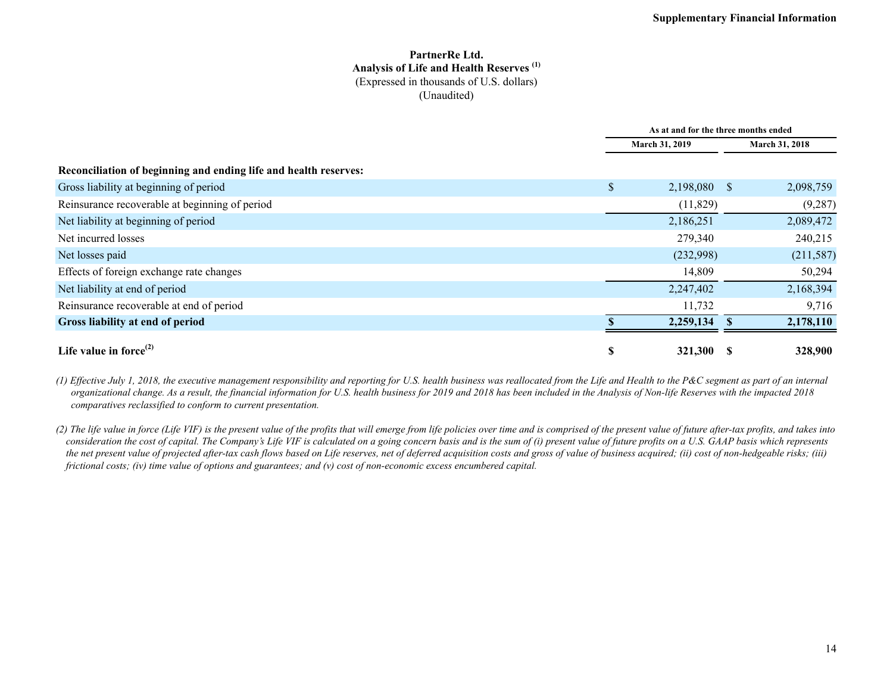#### **PartnerRe Ltd. Analysis of Life and Health Reserves (1)** (Expressed in thousands of U.S. dollars) (Unaudited)

|                                                                  |                       | As at and for the three months ended |  |                       |  |  |
|------------------------------------------------------------------|-----------------------|--------------------------------------|--|-----------------------|--|--|
|                                                                  | <b>March 31, 2019</b> |                                      |  | <b>March 31, 2018</b> |  |  |
| Reconciliation of beginning and ending life and health reserves: |                       |                                      |  |                       |  |  |
| Gross liability at beginning of period                           | \$                    | 2,198,080 \$                         |  | 2,098,759             |  |  |
| Reinsurance recoverable at beginning of period                   |                       | (11,829)                             |  | (9, 287)              |  |  |
| Net liability at beginning of period                             |                       | 2,186,251                            |  | 2,089,472             |  |  |
| Net incurred losses                                              |                       | 279,340                              |  | 240,215               |  |  |
| Net losses paid                                                  |                       | (232,998)                            |  | (211, 587)            |  |  |
| Effects of foreign exchange rate changes                         |                       | 14,809                               |  | 50,294                |  |  |
| Net liability at end of period                                   |                       | 2,247,402                            |  | 2,168,394             |  |  |
| Reinsurance recoverable at end of period                         |                       | 11,732                               |  | 9,716                 |  |  |
| Gross liability at end of period                                 |                       | 2,259,134                            |  | 2,178,110             |  |  |
| Life value in force $^{(2)}$                                     | S                     | 321,300                              |  | 328,900               |  |  |

*(1) Effective July 1, 2018, the executive management responsibility and reporting for U.S. health business was reallocated from the Life and Health to the P&C segment as part of an internal organizational change. As a result, the financial information for U.S. health business for 2019 and 2018 has been included in the Analysis of Non-life Reserves with the impacted 2018 comparatives reclassified to conform to current presentation.* 

*(2) The life value in force (Life VIF) is the present value of the profits that will emerge from life policies over time and is comprised of the present value of future after-tax profits, and takes into consideration the cost of capital. The Company's Life VIF is calculated on a going concern basis and is the sum of (i) present value of future profits on a U.S. GAAP basis which represents the net present value of projected after-tax cash flows based on Life reserves, net of deferred acquisition costs and gross of value of business acquired; (ii) cost of non-hedgeable risks; (iii) frictional costs; (iv) time value of options and guarantees; and (v) cost of non-economic excess encumbered capital.*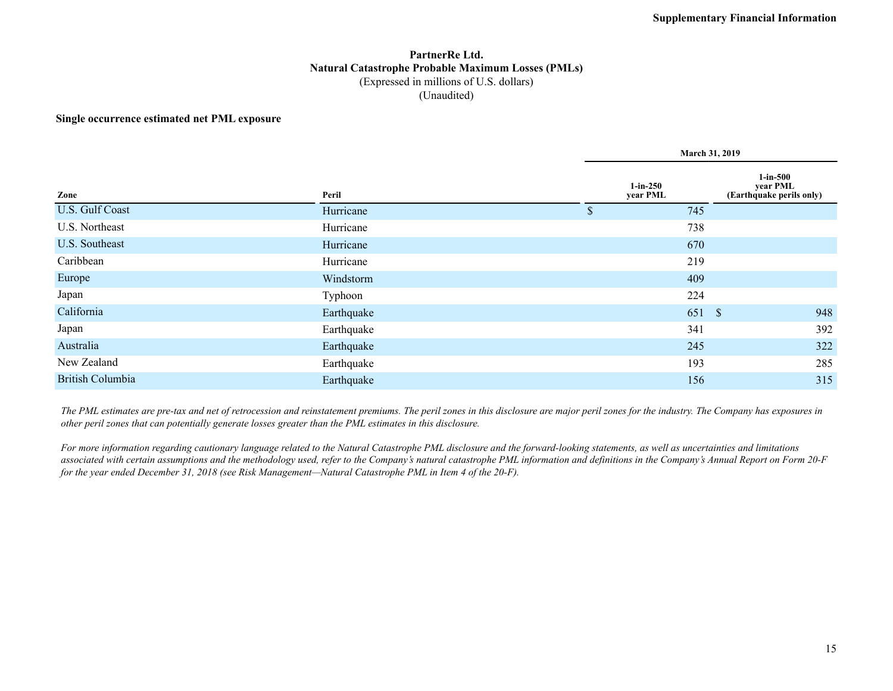#### **PartnerRe Ltd. Natural Catastrophe Probable Maximum Losses (PMLs)** (Expressed in millions of U.S. dollars) (Unaudited)

#### **Single occurrence estimated net PML exposure**

|                         |            | March 31, 2019         |      |                                                  |  |  |  |  |  |
|-------------------------|------------|------------------------|------|--------------------------------------------------|--|--|--|--|--|
| Zone                    | Peril      | $1-in-250$<br>year PML |      | 1-in-500<br>year PML<br>(Earthquake perils only) |  |  |  |  |  |
| U.S. Gulf Coast         | Hurricane  | \$                     | 745  |                                                  |  |  |  |  |  |
| U.S. Northeast          | Hurricane  |                        | 738  |                                                  |  |  |  |  |  |
| U.S. Southeast          | Hurricane  |                        | 670  |                                                  |  |  |  |  |  |
| Caribbean               | Hurricane  |                        | 219  |                                                  |  |  |  |  |  |
| Europe                  | Windstorm  |                        | 409  |                                                  |  |  |  |  |  |
| Japan                   | Typhoon    |                        | 224  |                                                  |  |  |  |  |  |
| California              | Earthquake |                        | 651S | 948                                              |  |  |  |  |  |
| Japan                   | Earthquake |                        | 341  | 392                                              |  |  |  |  |  |
| Australia               | Earthquake |                        | 245  | 322                                              |  |  |  |  |  |
| New Zealand             | Earthquake |                        | 193  | 285                                              |  |  |  |  |  |
| <b>British Columbia</b> | Earthquake |                        | 156  | 315                                              |  |  |  |  |  |

*The PML estimates are pre-tax and net of retrocession and reinstatement premiums. The peril zones in this disclosure are major peril zones for the industry. The Company has exposures in other peril zones that can potentially generate losses greater than the PML estimates in this disclosure.*

*For more information regarding cautionary language related to the Natural Catastrophe PML disclosure and the forward-looking statements, as well as uncertainties and limitations*  associated with certain assumptions and the methodology used, refer to the Company's natural catastrophe PML information and definitions in the Company's Annual Report on Form 20-F *for the year ended December 31, 2018 (see Risk Management—Natural Catastrophe PML in Item 4 of the 20-F).*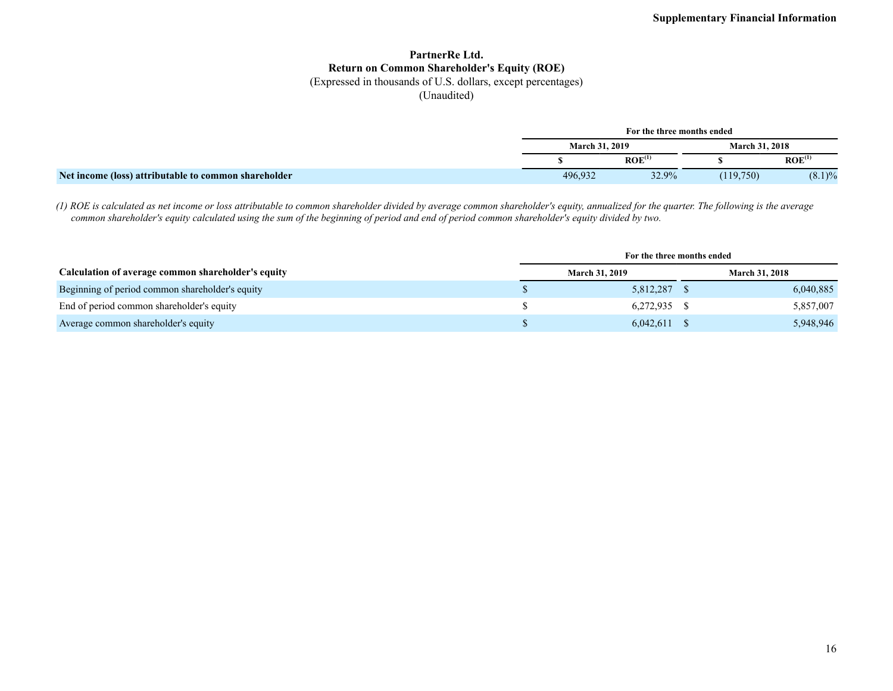## **PartnerRe Ltd. Return on Common Shareholder's Equity (ROE)**

(Expressed in thousands of U.S. dollars, except percentages)

(Unaudited)

|                                                      | For the three months ended |                    |                       |                    |  |  |  |  |
|------------------------------------------------------|----------------------------|--------------------|-----------------------|--------------------|--|--|--|--|
|                                                      | <b>March 31, 2019</b>      |                    | <b>March 31, 2018</b> |                    |  |  |  |  |
|                                                      |                            | ROE <sup>(1)</sup> |                       | ROE <sup>(1)</sup> |  |  |  |  |
| Net income (loss) attributable to common shareholder | 496,932                    | 32.9%              | (119,750)             | $(8.1)\%$          |  |  |  |  |

*(1) ROE is calculated as net income or loss attributable to common shareholder divided by average common shareholder's equity, annualized for the quarter. The following is the average common shareholder's equity calculated using the sum of the beginning of period and end of period common shareholder's equity divided by two.*

|                                                    | For the three months ended |                |  |                       |
|----------------------------------------------------|----------------------------|----------------|--|-----------------------|
| Calculation of average common shareholder's equity | <b>March 31, 2019</b>      |                |  | <b>March 31, 2018</b> |
| Beginning of period common shareholder's equity    |                            | 5,812,287      |  | 6,040,885             |
| End of period common shareholder's equity          |                            | 6,272,935 \$   |  | 5,857,007             |
| Average common shareholder's equity                |                            | $6,042,611$ \$ |  | 5,948,946             |